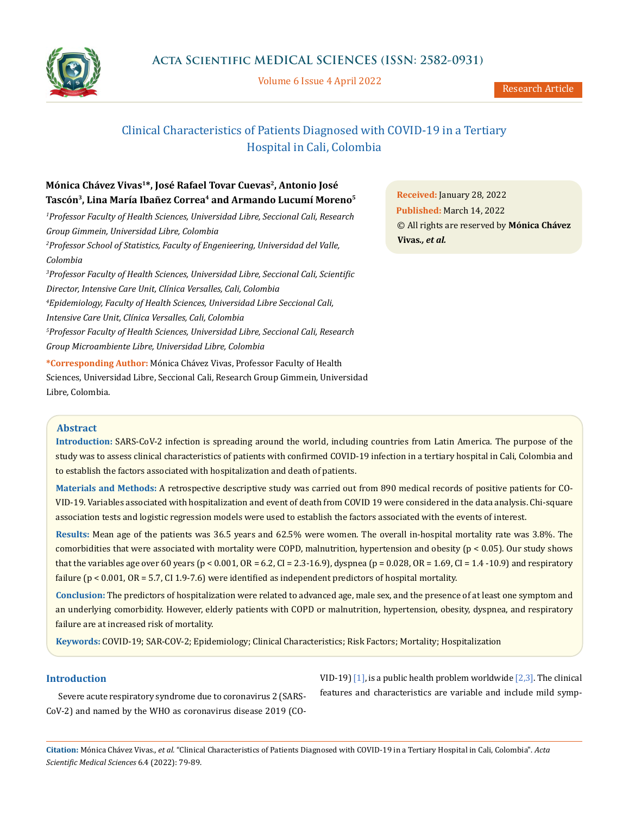

Volume 6 Issue 4 April 2022

# Clinical Characteristics of Patients Diagnosed with COVID-19 in a Tertiary Hospital in Cali, Colombia

# **Mónica Chávez Vivas1\*, José Rafael Tovar Cuevas2, Antonio José** Tascón<sup>3</sup>, Lina María Ibañez Correa<sup>4</sup> and Armando Lucumí Moreno<sup>5</sup>

*1 Professor Faculty of Health Sciences, Universidad Libre, Seccional Cali, Research Group Gimmein, Universidad Libre, Colombia 2 Professor School of Statistics, Faculty of Engenieering, Universidad del Valle, Colombia 3 Professor Faculty of Health Sciences, Universidad Libre, Seccional Cali, Scientific Director, Intensive Care Unit, Clínica Versalles, Cali, Colombia 4 Epidemiology, Faculty of Health Sciences, Universidad Libre Seccional Cali, Intensive Care Unit, Clínica Versalles, Cali, Colombia 5 Professor Faculty of Health Sciences, Universidad Libre, Seccional Cali, Research Group Microambiente Libre, Universidad Libre, Colombia* 

**\*Corresponding Author:** Mónica Chávez Vivas, Professor Faculty of Health Sciences, Universidad Libre, Seccional Cali, Research Group Gimmein*,* Universidad Libre*,* Colombia.

**Received:** January 28, 2022 **Published:** March 14, 2022 © All rights are reserved by **Mónica Chávez Vivas***., et al.*

### **Abstract**

**Introduction:** SARS-CoV-2 infection is spreading around the world, including countries from Latin America. The purpose of the study was to assess clinical characteristics of patients with confirmed COVID-19 infection in a tertiary hospital in Cali, Colombia and to establish the factors associated with hospitalization and death of patients.

**Materials and Methods:** A retrospective descriptive study was carried out from 890 medical records of positive patients for CO-VID-19. Variables associated with hospitalization and event of death from COVID 19 were considered in the data analysis. Chi-square association tests and logistic regression models were used to establish the factors associated with the events of interest.

**Results:** Mean age of the patients was 36.5 years and 62.5% were women. The overall in-hospital mortality rate was 3.8%. The comorbidities that were associated with mortality were COPD, malnutrition, hypertension and obesity ( $p < 0.05$ ). Our study shows that the variables age over 60 years ( $p < 0.001$ ,  $OR = 6.2$ ,  $CI = 2.3-16.9$ ), dyspnea ( $p = 0.028$ ,  $OR = 1.69$ ,  $CI = 1.4 -10.9$ ) and respiratory failure ( $p < 0.001$ ,  $OR = 5.7$ , CI 1.9-7.6) were identified as independent predictors of hospital mortality.

**Conclusion:** The predictors of hospitalization were related to advanced age, male sex, and the presence of at least one symptom and an underlying comorbidity. However, elderly patients with COPD or malnutrition, hypertension, obesity, dyspnea, and respiratory failure are at increased risk of mortality.

**Keywords:** COVID-19; SAR-COV-2; Epidemiology; Clinical Characteristics; Risk Factors; Mortality; Hospitalization

# **Introduction**

Severe acute respiratory syndrome due to coronavirus 2 (SARS-CoV-2) and named by the WHO as coronavirus disease 2019 (CO- VID-19)  $[1]$ , is a public health problem worldwide  $[2,3]$ . The clinical features and characteristics are variable and include mild symp-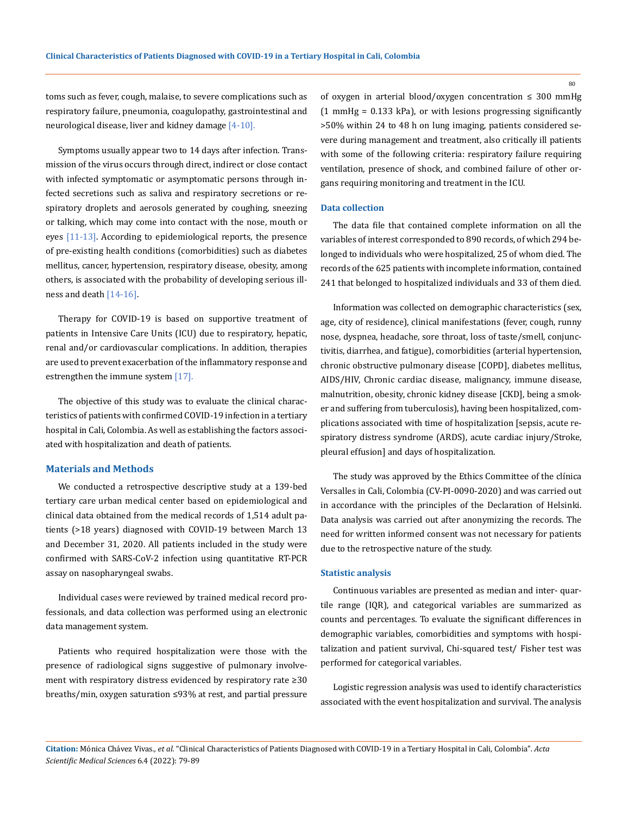toms such as fever, cough, malaise, to severe complications such as respiratory failure, pneumonia, coagulopathy, gastrointestinal and neurological disease, liver and kidney damage  $[4-10]$ .

Symptoms usually appear two to 14 days after infection. Transmission of the virus occurs through direct, indirect or close contact with infected symptomatic or asymptomatic persons through infected secretions such as saliva and respiratory secretions or respiratory droplets and aerosols generated by coughing, sneezing or talking, which may come into contact with the nose, mouth or eyes  $[11-13]$ . According to epidemiological reports, the presence of pre-existing health conditions (comorbidities) such as diabetes mellitus, cancer, hypertension, respiratory disease, obesity, among others, is associated with the probability of developing serious illness and death [14-16].

Therapy for COVID-19 is based on supportive treatment of patients in Intensive Care Units (ICU) due to respiratory, hepatic, renal and/or cardiovascular complications. In addition, therapies are used to prevent exacerbation of the inflammatory response and estrengthen the immune system [17].

The objective of this study was to evaluate the clinical characteristics of patients with confirmed COVID-19 infection in a tertiary hospital in Cali, Colombia. As well as establishing the factors associated with hospitalization and death of patients.

### **Materials and Methods**

We conducted a retrospective descriptive study at a 139-bed tertiary care urban medical center based on epidemiological and clinical data obtained from the medical records of 1,514 adult patients (>18 years) diagnosed with COVID-19 between March 13 and December 31, 2020. All patients included in the study were confirmed with SARS-CoV-2 infection using quantitative RT-PCR assay on nasopharyngeal swabs.

Individual cases were reviewed by trained medical record professionals, and data collection was performed using an electronic data management system.

Patients who required hospitalization were those with the presence of radiological signs suggestive of pulmonary involvement with respiratory distress evidenced by respiratory rate ≥30 breaths/min, oxygen saturation ≤93% at rest, and partial pressure of oxygen in arterial blood/oxygen concentration  $\leq 300$  mmHg  $(1 \text{ mmHg} = 0.133 \text{ kPa})$ , or with lesions progressing significantly >50% within 24 to 48 h on lung imaging, patients considered severe during management and treatment, also critically ill patients with some of the following criteria: respiratory failure requiring ventilation, presence of shock, and combined failure of other organs requiring monitoring and treatment in the ICU.

### **Data collection**

The data file that contained complete information on all the variables of interest corresponded to 890 records, of which 294 belonged to individuals who were hospitalized, 25 of whom died. The records of the 625 patients with incomplete information, contained 241 that belonged to hospitalized individuals and 33 of them died.

Information was collected on demographic characteristics (sex, age, city of residence), clinical manifestations (fever, cough, runny nose, dyspnea, headache, sore throat, loss of taste/smell, conjunctivitis, diarrhea, and fatigue), comorbidities (arterial hypertension, chronic obstructive pulmonary disease [COPD], diabetes mellitus, AIDS/HIV, Chronic cardiac disease, malignancy, immune disease, malnutrition, obesity, chronic kidney disease [CKD], being a smoker and suffering from tuberculosis), having been hospitalized, complications associated with time of hospitalization [sepsis, acute respiratory distress syndrome (ARDS), acute cardiac injury/Stroke, pleural effusion] and days of hospitalization.

The study was approved by the Ethics Committee of the clínica Versalles in Cali, Colombia (CV-PI-0090-2020) and was carried out in accordance with the principles of the Declaration of Helsinki. Data analysis was carried out after anonymizing the records. The need for written informed consent was not necessary for patients due to the retrospective nature of the study.

#### **Statistic analysis**

Continuous variables are presented as median and inter- quartile range (IQR), and categorical variables are summarized as counts and percentages. To evaluate the significant differences in demographic variables, comorbidities and symptoms with hospitalization and patient survival, Chi-squared test/ Fisher test was performed for categorical variables.

Logistic regression analysis was used to identify characteristics associated with the event hospitalization and survival. The analysis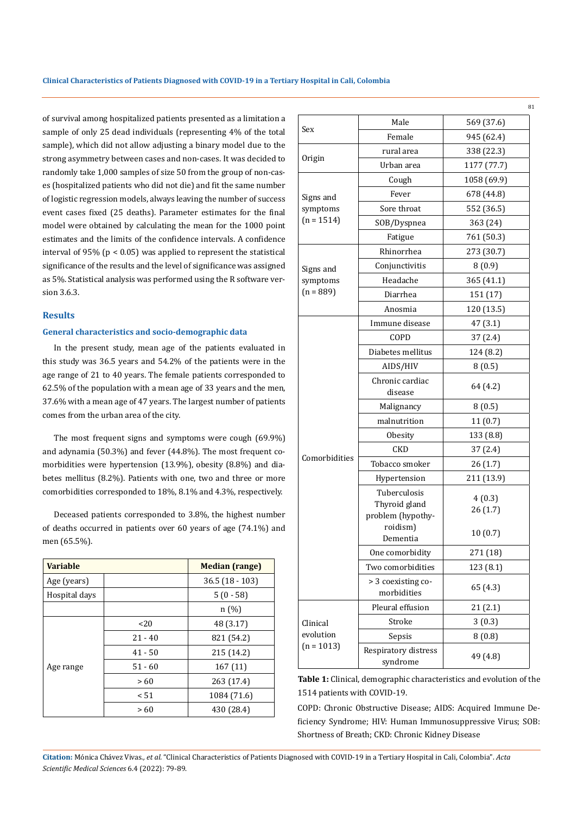of survival among hospitalized patients presented as a limitation a sample of only 25 dead individuals (representing 4% of the total sample), which did not allow adjusting a binary model due to the strong asymmetry between cases and non-cases. It was decided to randomly take 1,000 samples of size 50 from the group of non-cases (hospitalized patients who did not die) and fit the same number of logistic regression models, always leaving the number of success event cases fixed (25 deaths). Parameter estimates for the final model were obtained by calculating the mean for the 1000 point estimates and the limits of the confidence intervals. A confidence interval of 95% ( $p < 0.05$ ) was applied to represent the statistical significance of the results and the level of significance was assigned as 5%. Statistical analysis was performed using the R software version 3.6.3.

### **Results**

# **General characteristics and socio-demographic data**

In the present study, mean age of the patients evaluated in this study was 36.5 years and 54.2% of the patients were in the age range of 21 to 40 years. The female patients corresponded to 62.5% of the population with a mean age of 33 years and the men, 37.6% with a mean age of 47 years. The largest number of patients comes from the urban area of the city.

The most frequent signs and symptoms were cough (69.9%) and adynamia (50.3%) and fever (44.8%). The most frequent comorbidities were hypertension (13.9%), obesity (8.8%) and diabetes mellitus (8.2%). Patients with one, two and three or more comorbidities corresponded to 18%, 8.1% and 4.3%, respectively.

Deceased patients corresponded to 3.8%, the highest number of deaths occurred in patients over 60 years of age (74.1%) and men (65.5%).

| <b>Variable</b> |           | <b>Median (range)</b> |  |
|-----------------|-----------|-----------------------|--|
| Age (years)     |           | $36.5$ $(18 - 103)$   |  |
| Hospital days   |           | $5(0-58)$             |  |
|                 |           | n(%)                  |  |
|                 | <20       | 48 (3.17)             |  |
| Age range       | $21 - 40$ | 821 (54.2)            |  |
|                 | $41 - 50$ | 215 (14.2)            |  |
|                 | $51 - 60$ | 167(11)               |  |
|                 | >60       | 263 (17.4)            |  |
|                 | < 51      | 1084 (71.6)           |  |
|                 | >60       | 430 (28.4)            |  |

| Sex           | Male                                                           | 569 (37.6)        |
|---------------|----------------------------------------------------------------|-------------------|
|               | Female                                                         | 945 (62.4)        |
|               | rural area                                                     | 338 (22.3)        |
| Origin        | Urban area                                                     | 1177 (77.7)       |
|               | Cough                                                          | 1058 (69.9)       |
| Signs and     | Fever                                                          | 678 (44.8)        |
| symptoms      | Sore throat                                                    | 552 (36.5)        |
| $(n = 1514)$  | SOB/Dyspnea                                                    | 363 (24)          |
|               | Fatigue                                                        | 761 (50.3)        |
|               | Rhinorrhea                                                     | 273 (30.7)        |
| Signs and     | Conjunctivitis                                                 | 8(0.9)            |
| symptoms      | Headache                                                       | 365 (41.1)        |
| $(n = 889)$   | Diarrhea                                                       | 151 (17)          |
|               | Anosmia                                                        | 120 (13.5)        |
|               | Immune disease                                                 | 47 (3.1)          |
|               | COPD                                                           | 37 (2.4)          |
|               | Diabetes mellitus                                              | 124 (8.2)         |
|               | AIDS/HIV                                                       | 8(0.5)            |
|               | Chronic cardiac<br>disease                                     | 64 (4.2)          |
|               | Malignancy                                                     | 8(0.5)            |
|               | malnutrition                                                   | 11(0.7)           |
|               | Obesity                                                        | 133 (8.8)         |
|               | CKD                                                            | 37(2.4)           |
| Comorbidities | Tobacco smoker                                                 | 26 (1.7)          |
|               | Hypertension                                                   | 211 (13.9)        |
|               | Tuberculosis<br>Thyroid gland<br>problem (hypothy-<br>roidism) | 4(0.3)<br>26(1.7) |
|               | Dementia                                                       | 10(0.7)           |
|               | One comorbidity                                                | 271 (18)          |
|               | Two comorbidities                                              | 123 (8.1)         |
|               | > 3 coexisting co-<br>morbidities                              | 65 (4.3)          |
|               | Pleural effusion                                               | 21 (2.1)          |
| Clinical      | Stroke                                                         | 3(0.3)            |
| evolution     | Sepsis                                                         | 8(0.8)            |
| $(n = 1013)$  | Respiratory distress<br>syndrome                               | 49 (4.8)          |

**Table 1:** Clinical, demographic characteristics and evolution of the 1514 patients with COVID-19.

COPD: Chronic Obstructive Disease; AIDS: Acquired Immune Deficiency Syndrome; HIV: Human Immunosuppressive Virus; SOB: Shortness of Breath; CKD: Chronic Kidney Disease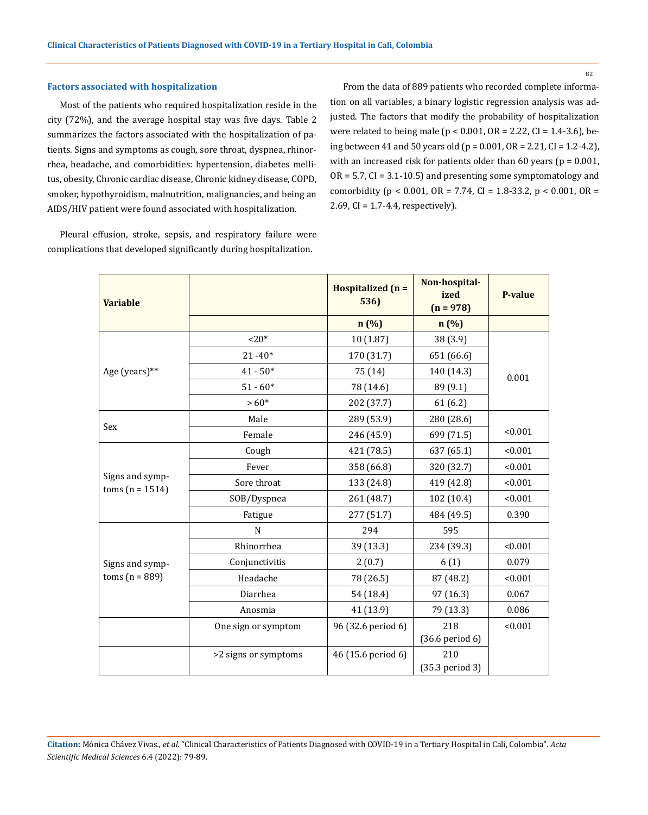#### **Factors associated with hospitalization**

Most of the patients who required hospitalization reside in the city (72%), and the average hospital stay was five days. Table 2 summarizes the factors associated with the hospitalization of patients. Signs and symptoms as cough, sore throat, dyspnea, rhinorrhea, headache, and comorbidities: hypertension, diabetes mellitus, obesity, Chronic cardiac disease, Chronic kidney disease, COPD, smoker, hypothyroidism, malnutrition, malignancies, and being an AIDS/HIV patient were found associated with hospitalization.

Pleural effusion, stroke, sepsis, and respiratory failure were complications that developed significantly during hospitalization.

From the data of 889 patients who recorded complete information on all variables, a binary logistic regression analysis was adjusted. The factors that modify the probability of hospitalization were related to being male ( $p < 0.001$ , OR = 2.22, CI = 1.4-3.6), being between 41 and 50 years old (p = 0.001, OR = 2.21, CI = 1.2-4.2), with an increased risk for patients older than 60 years ( $p = 0.001$ ,  $OR = 5.7$ ,  $CI = 3.1 - 10.5$  and presenting some symptomatology and comorbidity ( $p < 0.001$ ,  $OR = 7.74$ ,  $CI = 1.8-33.2$ ,  $p < 0.001$ ,  $OR =$ 2.69, CI = 1.7-4.4, respectively).

| <b>Variable</b>                      |                      | Hospitalized (n =<br>536) | Non-hospital-<br>ized<br>$(n = 978)$ | <b>P-value</b> |
|--------------------------------------|----------------------|---------------------------|--------------------------------------|----------------|
|                                      |                      | n(%)                      | $n(\%)$                              |                |
|                                      | $20*$                | 10(1.87)                  | 38 (3.9)                             |                |
|                                      | $21 - 40*$           | 170 (31.7)                | 651 (66.6)                           |                |
| Age (years)**                        | $41 - 50*$           | 75 (14)                   | 140 (14.3)                           | 0.001          |
|                                      | $51 - 60*$           | 78 (14.6)                 | 89 (9.1)                             |                |
|                                      | $>60*$               | 202 (37.7)                | 61(6.2)                              |                |
|                                      | Male                 | 289 (53.9)                | 280 (28.6)                           |                |
| Sex                                  | Female               | 246 (45.9)                | 699 (71.5)                           | < 0.001        |
|                                      | Cough                | 421 (78.5)                | 637 (65.1)                           | < 0.001        |
|                                      | Fever                | 358 (66.8)                | 320 (32.7)                           | < 0.001        |
| Signs and symp-<br>$toms (n = 1514)$ | Sore throat          | 133 (24.8)                | 419 (42.8)                           | < 0.001        |
|                                      | SOB/Dyspnea          | 261 (48.7)                | 102 (10.4)                           | < 0.001        |
|                                      | Fatigue              | 277 (51.7)                | 484 (49.5)                           | 0.390          |
|                                      | N                    | 294                       | 595                                  |                |
|                                      | Rhinorrhea           | 39 (13.3)                 | 234 (39.3)                           | < 0.001        |
| Signs and symp-                      | Conjunctivitis       | 2(0.7)                    | 6(1)                                 | 0.079          |
| toms $(n = 889)$                     | Headache             | 78 (26.5)                 | 87 (48.2)                            | < 0.001        |
|                                      | Diarrhea             | 54 (18.4)                 | 97 (16.3)                            | 0.067          |
|                                      | Anosmia              | 41 (13.9)                 | 79 (13.3)                            | 0.086          |
|                                      | One sign or symptom  | 96 (32.6 period 6)        | 218<br>$(36.6$ period $6)$           | < 0.001        |
|                                      | >2 signs or symptoms | 46 (15.6 period 6)        | 210<br>(35.3 period 3)               |                |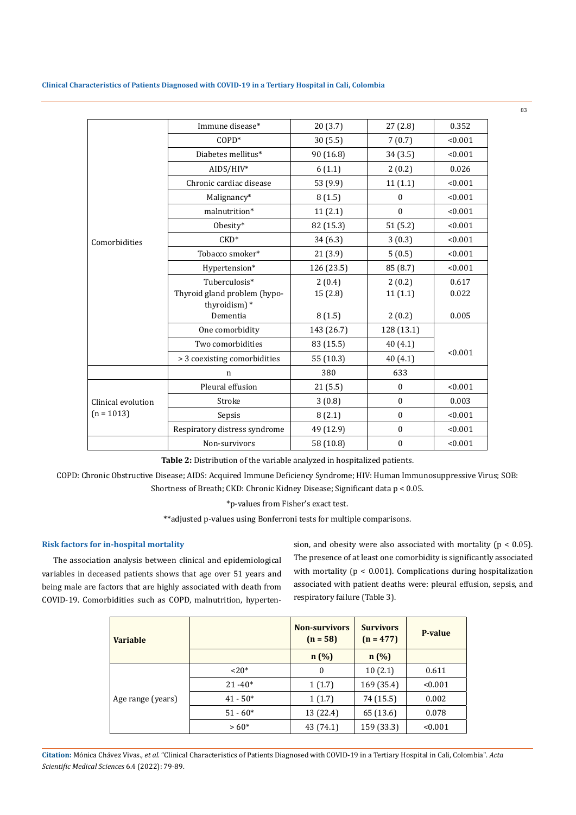**Clinical Characteristics of Patients Diagnosed with COVID-19 in a Tertiary Hospital in Cali, Colombia**

|                    | Immune disease*               | 20(3.7)    | 27(2.8)          | 0.352   |
|--------------------|-------------------------------|------------|------------------|---------|
|                    | COPD*                         | 30(5.5)    | 7(0.7)           | < 0.001 |
|                    | Diabetes mellitus*            | 90 (16.8)  | 34(3.5)          | < 0.001 |
|                    | AIDS/HIV*                     | 6(1.1)     | 2(0.2)           | 0.026   |
|                    | Chronic cardiac disease       | 53 (9.9)   | 11(1.1)          | < 0.001 |
|                    | Malignancy*                   | 8(1.5)     | $\mathbf{0}$     | < 0.001 |
|                    | malnutrition*                 | 11(2.1)    | $\boldsymbol{0}$ | < 0.001 |
|                    | Obesity*                      | 82 (15.3)  | 51(5.2)          | < 0.001 |
| Comorbidities      | $CKD^*$                       | 34(6.3)    | 3(0.3)           | < 0.001 |
|                    | Tobacco smoker*               | 21(3.9)    | 5(0.5)           | < 0.001 |
|                    | Hypertension*                 | 126 (23.5) | 85 (8.7)         | < 0.001 |
|                    | Tuberculosis*                 | 2(0.4)     | 2(0.2)           | 0.617   |
|                    | Thyroid gland problem (hypo-  | 15(2.8)    | 11(1.1)          | 0.022   |
|                    | thyroidism)*                  |            |                  |         |
|                    | Dementia                      | 8(1.5)     | 2(0.2)           | 0.005   |
|                    | One comorbidity               | 143 (26.7) | 128 (13.1)       |         |
|                    | Two comorbidities             | 83 (15.5)  | 40(4.1)          |         |
|                    | > 3 coexisting comorbidities  | 55 (10.3)  | 40(4.1)          | < 0.001 |
|                    | $\mathbf n$                   | 380        | 633              |         |
|                    | Pleural effusion              | 21(5.5)    | $\boldsymbol{0}$ | < 0.001 |
| Clinical evolution | Stroke                        | 3(0.8)     | $\boldsymbol{0}$ | 0.003   |
| $(n = 1013)$       | Sepsis                        | 8(2.1)     | $\mathbf{0}$     | < 0.001 |
|                    | Respiratory distress syndrome | 49 (12.9)  | $\boldsymbol{0}$ | < 0.001 |
|                    | Non-survivors                 | 58 (10.8)  | $\boldsymbol{0}$ | < 0.001 |

**Table 2:** Distribution of the variable analyzed in hospitalized patients.

COPD: Chronic Obstructive Disease; AIDS: Acquired Immune Deficiency Syndrome; HIV: Human Immunosuppressive Virus; SOB: Shortness of Breath; CKD: Chronic Kidney Disease; Significant data p < 0.05.

\*p-values from Fisher's exact test.

\*\*adjusted p-values using Bonferroni tests for multiple comparisons.

#### **Risk factors for in-hospital mortality**

The association analysis between clinical and epidemiological variables in deceased patients shows that age over 51 years and being male are factors that are highly associated with death from COVID-19. Comorbidities such as COPD, malnutrition, hypertension, and obesity were also associated with mortality ( $p < 0.05$ ). The presence of at least one comorbidity is significantly associated with mortality (p < 0.001). Complications during hospitalization associated with patient deaths were: pleural effusion, sepsis, and respiratory failure (Table 3).

83

| <b>Variable</b>   |            | <b>Non-survivors</b><br>$(n = 58)$ | <b>Survivors</b><br>$(n = 477)$ | <b>P-value</b> |
|-------------------|------------|------------------------------------|---------------------------------|----------------|
|                   |            | n(%)                               | n(%)                            |                |
| Age range (years) | $20*$      | $\boldsymbol{0}$                   | 10(2.1)                         | 0.611          |
|                   | $21 - 40*$ | 1(1.7)                             | 169 (35.4)                      | < 0.001        |
|                   | $41 - 50*$ | 1(1.7)                             | 74 (15.5)                       | 0.002          |
|                   | $51 - 60*$ | 13 (22.4)                          | 65 (13.6)                       | 0.078          |
|                   | $>60*$     | 43 (74.1)                          | 159 (33.3)                      | < 0.001        |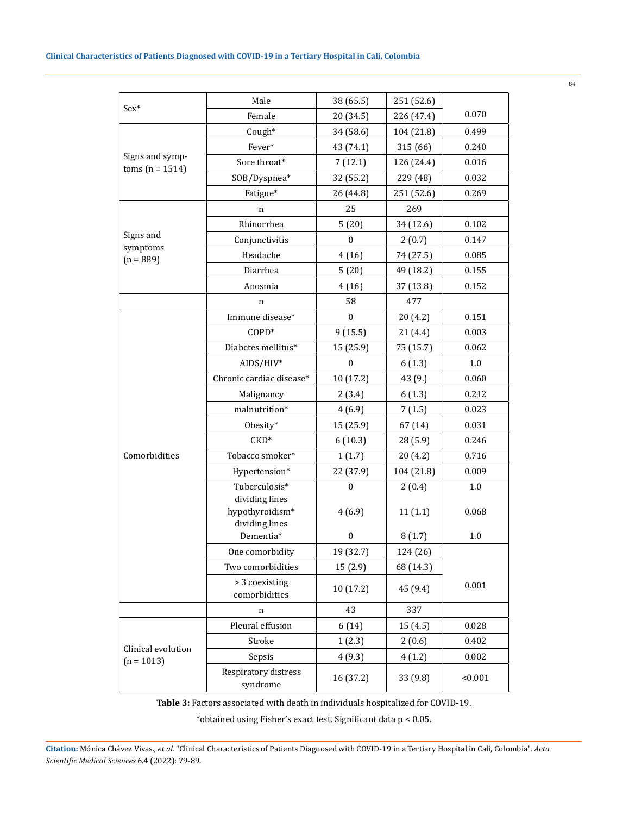|                                      | Male                              | 38 (65.5)        | 251 (52.6) |         |
|--------------------------------------|-----------------------------------|------------------|------------|---------|
| $Sex*$                               | Female                            | 20 (34.5)        | 226 (47.4) | 0.070   |
|                                      | Cough*                            | 34 (58.6)        | 104 (21.8) | 0.499   |
|                                      | Fever*                            | 43 (74.1)        | 315 (66)   | 0.240   |
| Signs and symp-<br>$toms (n = 1514)$ | Sore throat*                      | 7(12.1)          | 126 (24.4) | 0.016   |
|                                      | SOB/Dyspnea*                      | 32 (55.2)        | 229 (48)   | 0.032   |
|                                      | Fatigue*                          | 26 (44.8)        | 251 (52.6) | 0.269   |
|                                      | n                                 | 25               | 269        |         |
|                                      | Rhinorrhea                        | 5(20)            | 34 (12.6)  | 0.102   |
| Signs and                            | Conjunctivitis                    | $\boldsymbol{0}$ | 2(0.7)     | 0.147   |
| symptoms<br>$(n = 889)$              | Headache                          | 4(16)            | 74 (27.5)  | 0.085   |
|                                      | Diarrhea                          | 5(20)            | 49 (18.2)  | 0.155   |
|                                      | Anosmia                           | 4(16)            | 37 (13.8)  | 0.152   |
|                                      | n                                 | 58               | 477        |         |
|                                      | Immune disease*                   | $\mathbf{0}$     | 20(4.2)    | 0.151   |
|                                      | $COPD*$                           | 9(15.5)          | 21(4.4)    | 0.003   |
|                                      | Diabetes mellitus*                | 15 (25.9)        | 75 (15.7)  | 0.062   |
|                                      | AIDS/HIV*                         | $\boldsymbol{0}$ | 6(1.3)     | 1.0     |
|                                      | Chronic cardiac disease*          | 10 (17.2)        | 43 (9.)    | 0.060   |
|                                      | Malignancy                        | 2(3.4)           | 6(1.3)     | 0.212   |
|                                      | malnutrition*                     | 4(6.9)           | 7(1.5)     | 0.023   |
|                                      | Obesity*                          | 15 (25.9)        | 67 (14)    | 0.031   |
|                                      | $CKD^*$                           | 6(10.3)          | 28 (5.9)   | 0.246   |
| Comorbidities                        | Tobacco smoker*                   | 1(1.7)           | 20 (4.2)   | 0.716   |
|                                      | Hypertension*                     | 22 (37.9)        | 104 (21.8) | 0.009   |
|                                      | Tuberculosis*<br>dividing lines   | $\mathbf{0}$     | 2(0.4)     | 1.0     |
|                                      | hypothyroidism*<br>dividing lines | 4(6.9)           | 11(1.1)    | 0.068   |
|                                      | Dementia*                         | $\boldsymbol{0}$ | 8(1.7)     | 1.0     |
|                                      | One comorbidity                   | 19 (32.7)        | 124 (26)   |         |
|                                      | Two comorbidities                 | 15(2.9)          | 68 (14.3)  |         |
|                                      | > 3 coexisting<br>comorbidities   | 10 (17.2)        | 45 (9.4)   | 0.001   |
|                                      | n                                 | 43               | 337        |         |
|                                      | Pleural effusion                  | 6(14)            | 15 (4.5)   | 0.028   |
|                                      | Stroke                            | 1(2.3)           | 2(0.6)     | 0.402   |
| Clinical evolution<br>$(n = 1013)$   | Sepsis                            | 4(9.3)           | 4(1.2)     | 0.002   |
|                                      | Respiratory distress<br>syndrome  | 16 (37.2)        | 33 (9.8)   | < 0.001 |
|                                      |                                   |                  |            |         |

**Table 3:** Factors associated with death in individuals hospitalized for COVID-19.

\*obtained using Fisher's exact test. Significant data p < 0.05.

**Citation:** Mónica Chávez Vivas*., et al.* "Clinical Characteristics of Patients Diagnosed with COVID-19 in a Tertiary Hospital in Cali, Colombia". *Acta Scientific Medical Sciences* 6.4 (2022): 79-89.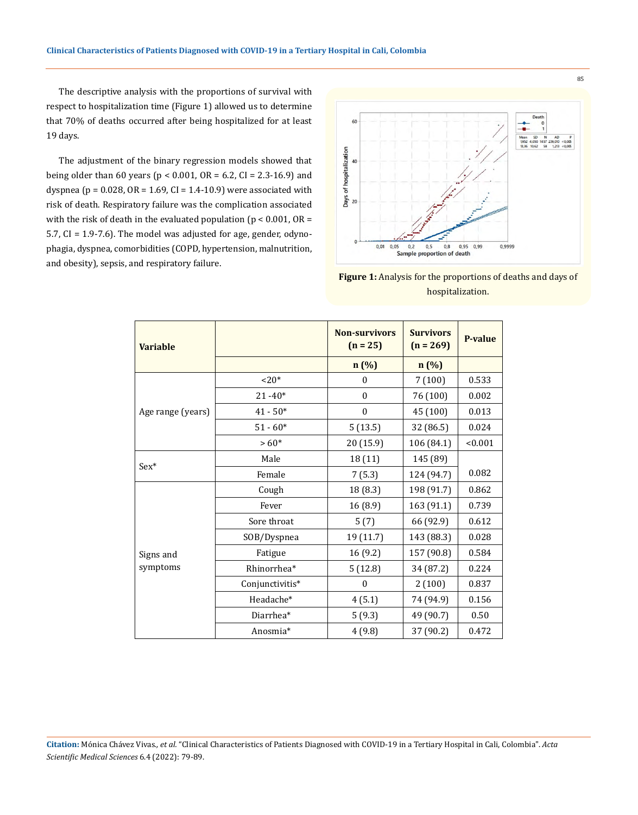The descriptive analysis with the proportions of survival with respect to hospitalization time (Figure 1) allowed us to determine that 70% of deaths occurred after being hospitalized for at least 19 days.

The adjustment of the binary regression models showed that being older than 60 years ( $p < 0.001$ , OR = 6.2, CI = 2.3-16.9) and dyspnea ( $p = 0.028$ ,  $OR = 1.69$ ,  $CI = 1.4-10.9$ ) were associated with risk of death. Respiratory failure was the complication associated with the risk of death in the evaluated population ( $p < 0.001$ , OR = 5.7, CI = 1.9-7.6). The model was adjusted for age, gender, odynophagia, dyspnea, comorbidities (COPD, hypertension, malnutrition, and obesity), sepsis, and respiratory failure.



**Figure 1:** Analysis for the proportions of deaths and days of hospitalization.

| <b>Variable</b>   |                 | <b>Non-survivors</b><br>$(n = 25)$ | <b>Survivors</b><br>$(n = 269)$ | P-value |
|-------------------|-----------------|------------------------------------|---------------------------------|---------|
|                   |                 | n(%)                               | $n(\%)$                         |         |
|                   | $20*$           | $\mathbf{0}$                       | 7(100)                          | 0.533   |
|                   | $21 - 40*$      | $\mathbf{0}$                       | 76 (100)                        | 0.002   |
| Age range (years) | $41 - 50*$      | $\mathbf{0}$                       | 45 (100)                        | 0.013   |
|                   | $51 - 60*$      | 5(13.5)                            | 32 (86.5)                       | 0.024   |
|                   | $>60*$          | 20 (15.9)                          | 106 (84.1)                      | < 0.001 |
|                   | Male            | 18 (11)                            | 145 (89)                        |         |
| $Sex^*$           | Female          | 7(5.3)                             | 124 (94.7)                      | 0.082   |
|                   | Cough           | 18 (8.3)                           | 198 (91.7)                      | 0.862   |
|                   | Fever           | 16 (8.9)                           | 163 (91.1)                      | 0.739   |
|                   | Sore throat     | 5(7)                               | 66 (92.9)                       | 0.612   |
|                   | SOB/Dyspnea     | 19 (11.7)                          | 143 (88.3)                      | 0.028   |
| Signs and         | Fatigue         | 16 (9.2)                           | 157 (90.8)                      | 0.584   |
| symptoms          | Rhinorrhea*     | 5(12.8)                            | 34 (87.2)                       | 0.224   |
|                   | Conjunctivitis* | $\mathbf{0}$                       | 2(100)                          | 0.837   |
|                   | Headache*       | 4(5.1)                             | 74 (94.9)                       | 0.156   |
|                   | Diarrhea*       | 5(9.3)                             | 49 (90.7)                       | 0.50    |
|                   | Anosmia*        | 4(9.8)                             | 37 (90.2)                       | 0.472   |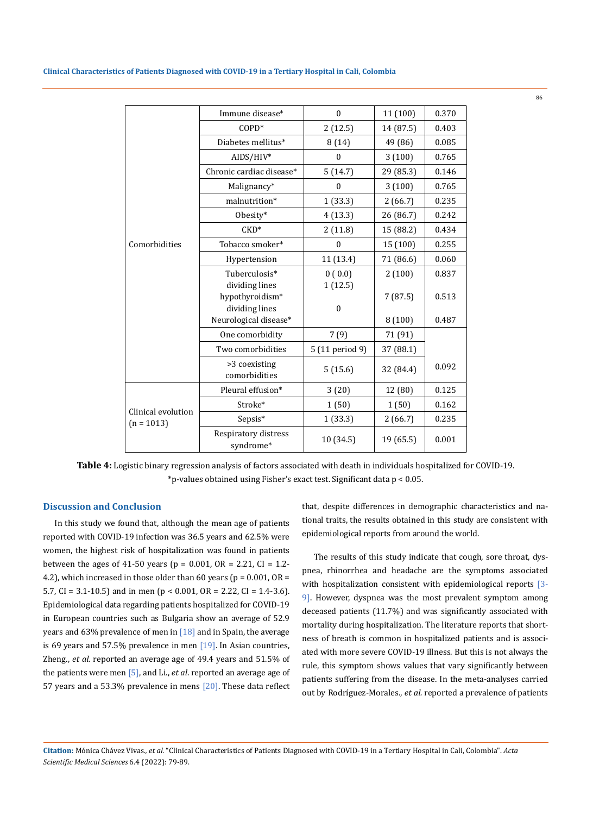|  | Clinical Characteristics of Patients Diagnosed with COVID-19 in a Tertiary Hospital in Cali, Colombia |
|--|-------------------------------------------------------------------------------------------------------|
|--|-------------------------------------------------------------------------------------------------------|

|                                    | Immune disease*                   | $\mathbf{0}$    | 11 (100)  | 0.370 |
|------------------------------------|-----------------------------------|-----------------|-----------|-------|
|                                    | $COPD*$                           | 2(12.5)         | 14 (87.5) | 0.403 |
|                                    | Diabetes mellitus*                | 8(14)           | 49 (86)   | 0.085 |
|                                    | AIDS/HIV*                         | $\theta$        | 3(100)    | 0.765 |
|                                    | Chronic cardiac disease*          | 5(14.7)         | 29 (85.3) | 0.146 |
|                                    | Malignancy*                       | $\mathbf{0}$    | 3(100)    | 0.765 |
|                                    | malnutrition*                     | 1(33.3)         | 2(66.7)   | 0.235 |
|                                    | Obesity*                          | 4(13.3)         | 26 (86.7) | 0.242 |
|                                    | $CKD*$                            | 2(11.8)         | 15 (88.2) | 0.434 |
| Comorbidities                      | Tobacco smoker*                   | $\mathbf{0}$    | 15 (100)  | 0.255 |
|                                    | Hypertension                      | 11 (13.4)       | 71 (86.6) | 0.060 |
|                                    | Tuberculosis*                     | 0(0.0)          | 2(100)    | 0.837 |
|                                    | dividing lines                    | 1(12.5)         |           |       |
|                                    | hypothyroidism*                   |                 | 7(87.5)   | 0.513 |
|                                    | dividing lines                    | $\mathbf{0}$    |           |       |
|                                    | Neurological disease*             |                 | 8(100)    | 0.487 |
|                                    | One comorbidity                   | 7(9)            | 71 (91)   |       |
|                                    | Two comorbidities                 | 5 (11 period 9) | 37 (88.1) |       |
|                                    | >3 coexisting<br>comorbidities    | 5(15.6)         | 32 (84.4) | 0.092 |
|                                    | Pleural effusion*                 | 3(20)           | 12 (80)   | 0.125 |
|                                    | Stroke*                           | 1(50)           | 1(50)     | 0.162 |
| Clinical evolution<br>$(n = 1013)$ | Sepsis*                           | 1(33.3)         | 2(66.7)   | 0.235 |
|                                    | Respiratory distress<br>syndrome* | 10 (34.5)       | 19 (65.5) | 0.001 |

**Table 4:** Logistic binary regression analysis of factors associated with death in individuals hospitalized for COVID-19. \*p-values obtained using Fisher's exact test. Significant data p < 0.05.

# **Discussion and Conclusion**

In this study we found that, although the mean age of patients reported with COVID-19 infection was 36.5 years and 62.5% were women, the highest risk of hospitalization was found in patients between the ages of 41-50 years ( $p = 0.001$ ,  $OR = 2.21$ ,  $CI = 1.2$ -4.2), which increased in those older than 60 years ( $p = 0.001$ ,  $OR =$ 5.7, CI = 3.1-10.5) and in men ( $p < 0.001$ , OR = 2.22, CI = 1.4-3.6). Epidemiological data regarding patients hospitalized for COVID-19 in European countries such as Bulgaria show an average of 52.9 years and 63% prevalence of men in  $[18]$  and in Spain, the average is 69 years and 57.5% prevalence in men [19]. In Asian countries, Zheng., *et al.* reported an average age of 49.4 years and 51.5% of the patients were men [5], and Li., *et al*. reported an average age of 57 years and a 53.3% prevalence in mens [20]. These data reflect

that, despite differences in demographic characteristics and national traits, the results obtained in this study are consistent with epidemiological reports from around the world.

The results of this study indicate that cough, sore throat, dyspnea, rhinorrhea and headache are the symptoms associated with hospitalization consistent with epidemiological reports [3-9]. However, dyspnea was the most prevalent symptom among deceased patients (11.7%) and was significantly associated with mortality during hospitalization. The literature reports that shortness of breath is common in hospitalized patients and is associated with more severe COVID-19 illness. But this is not always the rule, this symptom shows values that vary significantly between patients suffering from the disease. In the meta-analyses carried out by Rodríguez-Morales., *et al.* reported a prevalence of patients

**Citation:** Mónica Chávez Vivas*., et al.* "Clinical Characteristics of Patients Diagnosed with COVID-19 in a Tertiary Hospital in Cali, Colombia". *Acta Scientific Medical Sciences* 6.4 (2022): 79-89.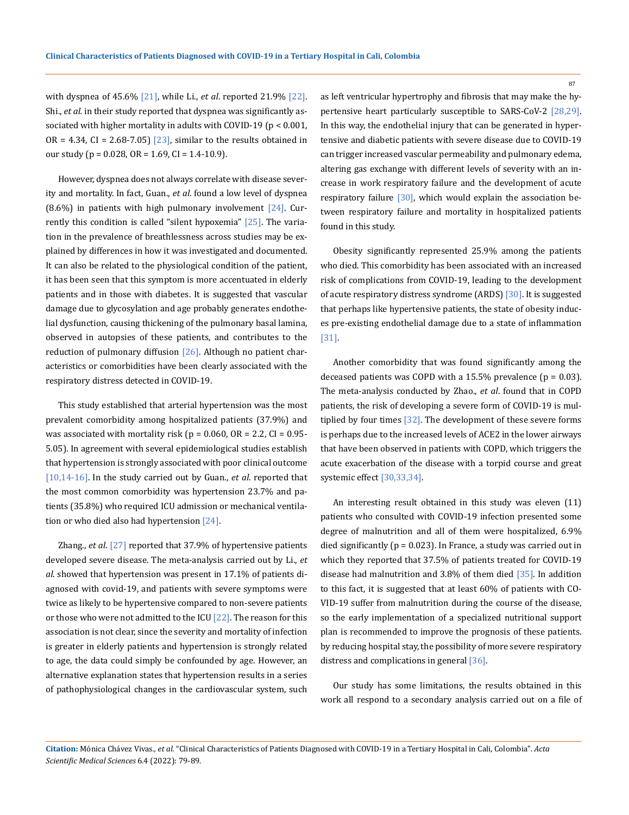with dyspnea of 45.6% [21], while Li., *et al*. reported 21.9% [22]. Shi., *et al.* in their study reported that dyspnea was significantly associated with higher mortality in adults with COVID-19 (p < 0.001, OR = 4.34, CI = 2.68-7.05) [23], similar to the results obtained in our study ( $p = 0.028$ ,  $OR = 1.69$ ,  $CI = 1.4-10.9$ ).

However, dyspnea does not always correlate with disease severity and mortality. In fact, Guan., *et al*. found a low level of dyspnea  $(8.6\%)$  in patients with high pulmonary involvement  $[24]$ . Currently this condition is called "silent hypoxemia"  $[25]$ . The variation in the prevalence of breathlessness across studies may be explained by differences in how it was investigated and documented. It can also be related to the physiological condition of the patient, it has been seen that this symptom is more accentuated in elderly patients and in those with diabetes. It is suggested that vascular damage due to glycosylation and age probably generates endothelial dysfunction, causing thickening of the pulmonary basal lamina, observed in autopsies of these patients, and contributes to the reduction of pulmonary diffusion [26]. Although no patient characteristics or comorbidities have been clearly associated with the respiratory distress detected in COVID-19.

This study established that arterial hypertension was the most prevalent comorbidity among hospitalized patients (37.9%) and was associated with mortality risk ( $p = 0.060$ ,  $OR = 2.2$ ,  $CI = 0.95$ -5.05). In agreement with several epidemiological studies establish that hypertension is strongly associated with poor clinical outcome [10,14-16]. In the study carried out by Guan., *et al*. reported that the most common comorbidity was hypertension 23.7% and patients (35.8%) who required ICU admission or mechanical ventilation or who died also had hypertension [24].

Zhang., *et al*. [27] reported that 37.9% of hypertensive patients developed severe disease. The meta-analysis carried out by Li., *et al*. showed that hypertension was present in 17.1% of patients diagnosed with covid-19, and patients with severe symptoms were twice as likely to be hypertensive compared to non-severe patients or those who were not admitted to the ICU  $[22]$ . The reason for this association is not clear, since the severity and mortality of infection is greater in elderly patients and hypertension is strongly related to age, the data could simply be confounded by age. However, an alternative explanation states that hypertension results in a series of pathophysiological changes in the cardiovascular system, such

as left ventricular hypertrophy and fibrosis that may make the hypertensive heart particularly susceptible to SARS-CoV-2 [28,29]. In this way, the endothelial injury that can be generated in hypertensive and diabetic patients with severe disease due to COVID-19 can trigger increased vascular permeability and pulmonary edema, altering gas exchange with different levels of severity with an increase in work respiratory failure and the development of acute respiratory failure [30], which would explain the association between respiratory failure and mortality in hospitalized patients found in this study.

Obesity significantly represented 25.9% among the patients who died. This comorbidity has been associated with an increased risk of complications from COVID-19, leading to the development of acute respiratory distress syndrome (ARDS) [30]. It is suggested that perhaps like hypertensive patients, the state of obesity induces pre-existing endothelial damage due to a state of inflammation [31].

Another comorbidity that was found significantly among the deceased patients was COPD with a  $15.5\%$  prevalence ( $p = 0.03$ ). The meta-analysis conducted by Zhao., *et al*. found that in COPD patients, the risk of developing a severe form of COVID-19 is multiplied by four times [32]. The development of these severe forms is perhaps due to the increased levels of ACE2 in the lower airways that have been observed in patients with COPD, which triggers the acute exacerbation of the disease with a torpid course and great systemic effect [30,33,34].

An interesting result obtained in this study was eleven (11) patients who consulted with COVID-19 infection presented some degree of malnutrition and all of them were hospitalized, 6.9% died significantly ( $p = 0.023$ ). In France, a study was carried out in which they reported that 37.5% of patients treated for COVID-19 disease had malnutrition and 3.8% of them died [35]. In addition to this fact, it is suggested that at least 60% of patients with CO-VID-19 suffer from malnutrition during the course of the disease, so the early implementation of a specialized nutritional support plan is recommended to improve the prognosis of these patients. by reducing hospital stay, the possibility of more severe respiratory distress and complications in general [36].

Our study has some limitations, the results obtained in this work all respond to a secondary analysis carried out on a file of

**Citation:** Mónica Chávez Vivas*., et al.* "Clinical Characteristics of Patients Diagnosed with COVID-19 in a Tertiary Hospital in Cali, Colombia". *Acta Scientific Medical Sciences* 6.4 (2022): 79-89.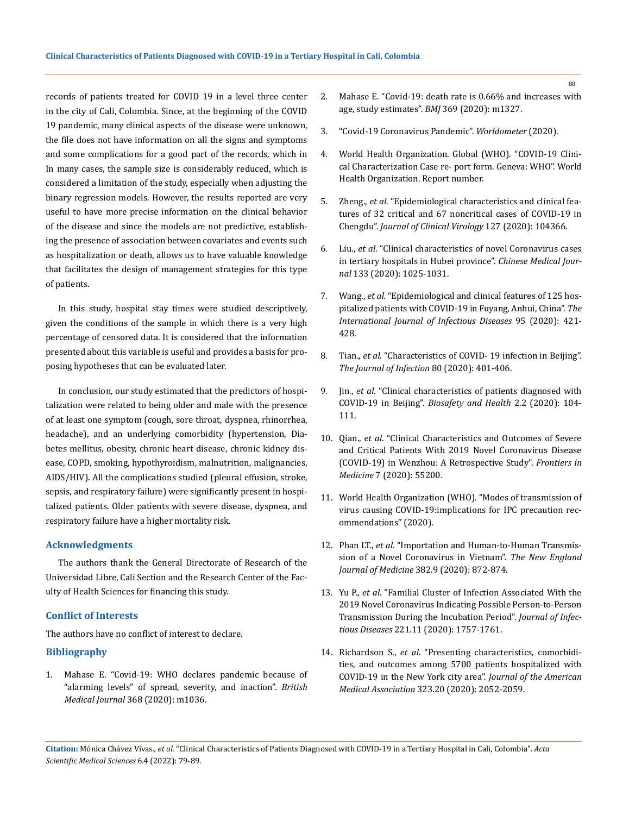records of patients treated for COVID 19 in a level three center in the city of Cali, Colombia. Since, at the beginning of the COVID 19 pandemic, many clinical aspects of the disease were unknown, the file does not have information on all the signs and symptoms and some complications for a good part of the records, which in In many cases, the sample size is considerably reduced, which is considered a limitation of the study, especially when adjusting the binary regression models. However, the results reported are very useful to have more precise information on the clinical behavior of the disease and since the models are not predictive, establishing the presence of association between covariates and events such as hospitalization or death, allows us to have valuable knowledge that facilitates the design of management strategies for this type of patients.

In this study, hospital stay times were studied descriptively, given the conditions of the sample in which there is a very high percentage of censored data. It is considered that the information presented about this variable is useful and provides a basis for proposing hypotheses that can be evaluated later.

In conclusion, our study estimated that the predictors of hospitalization were related to being older and male with the presence of at least one symptom (cough, sore throat, dyspnea, rhinorrhea, headache), and an underlying comorbidity (hypertension, Diabetes mellitus, obesity, chronic heart disease, chronic kidney disease, COPD, smoking, hypothyroidism, malnutrition, malignancies, AIDS/HIV). All the complications studied (pleural effusion, stroke, sepsis, and respiratory failure) were significantly present in hospitalized patients. Older patients with severe disease, dyspnea, and respiratory failure have a higher mortality risk.

#### **Acknowledgments**

The authors thank the General Directorate of Research of the Universidad Libre, Cali Section and the Research Center of the Faculty of Health Sciences for financing this study.

#### **Conflict of Interests**

The authors have no conflict of interest to declare.

#### **Bibliography**

1. [Mahase E. "Covid-19: WHO declares pandemic because of](https://pubmed.ncbi.nlm.nih.gov/32165426/)  ["alarming levels" of spread, severity, and inaction".](https://pubmed.ncbi.nlm.nih.gov/32165426/) *British Medical Journal* [368 \(2020\): m1036.](https://pubmed.ncbi.nlm.nih.gov/32165426/)

- 2. [Mahase E. "Covid-19: death rate is 0.66% and increases with](https://doi.org/10.1136/bmj.m1327)  [age, study estimates".](https://doi.org/10.1136/bmj.m1327) *BMJ* 369 (2020): m1327.
- 3. "Covid-19 Coronavirus Pandemic". *Worldometer* (2020).
- 4. World Health Organization. Global (WHO). "COVID-19 Clinical Characterization Case re- port form. Geneva: WHO". World Health Organization. Report number.
- 5. Zheng., *et al*[. "Epidemiological characteristics and clinical fea](https://www.ncbi.nlm.nih.gov/pmc/articles/PMC7146675/)[tures of 32 critical and 67 noncritical cases of COVID-19 in](https://www.ncbi.nlm.nih.gov/pmc/articles/PMC7146675/)  Chengdu". *[Journal of Clinical Virology](https://www.ncbi.nlm.nih.gov/pmc/articles/PMC7146675/)* 127 (2020): 104366.
- 6. Liu., *et al*[. "Clinical characteristics of novel Coronavirus cases](https://pubmed.ncbi.nlm.nih.gov/32044814/)  [in tertiary hospitals in Hubei province".](https://pubmed.ncbi.nlm.nih.gov/32044814/) *Chinese Medical Journal* [133 \(2020\): 1025-1031.](https://pubmed.ncbi.nlm.nih.gov/32044814/)
- 7. Wang., *et al.* ["Epidemiological and clinical features of 125 hos](https://pubmed.ncbi.nlm.nih.gov/32289565/)[pitalized patients with COVID-19 in Fuyang, Anhui, China".](https://pubmed.ncbi.nlm.nih.gov/32289565/) *The [International Journal of Infectious Diseases](https://pubmed.ncbi.nlm.nih.gov/32289565/)* 95 (2020): 421- [428.](https://pubmed.ncbi.nlm.nih.gov/32289565/)
- 8. Tian., *et al*. "Characteristics of COVID- 19 infection in Beijing". *The Journal of Infection* 80 (2020): 401-406.
- 9. Jin., *et al*. "Clinical characteristics of patients diagnosed with COVID-19 in Beijing". *Biosafety and Health* 2.2 (2020): 104- 111.
- 10. Qian., *et al*[. "Clinical Characteristics and Outcomes of Severe](https://pubmed.ncbi.nlm.nih.gov/33015108/)  [and Critical Patients With 2019 Novel Coronavirus Disease](https://pubmed.ncbi.nlm.nih.gov/33015108/)  [\(COVID-19\) in Wenzhou: A Retrospective Study".](https://pubmed.ncbi.nlm.nih.gov/33015108/) *Frontiers in Medicine* [7 \(2020\): 55200.](https://pubmed.ncbi.nlm.nih.gov/33015108/)
- 11. [World Health Organization \(WHO\). "Modes of transmission of](https://www.who.int/publications-detail/modes-of-transmission-of%20viruscausingcovid-19-implications-for-ipc-precaution-recommendations)  [virus causing COVID-19:implications for IPC precaution rec](https://www.who.int/publications-detail/modes-of-transmission-of%20viruscausingcovid-19-implications-for-ipc-precaution-recommendations)[ommendations" \(2020\).](https://www.who.int/publications-detail/modes-of-transmission-of%20viruscausingcovid-19-implications-for-ipc-precaution-recommendations)
- 12. Phan LT., *et al*[. "Importation and Human-to-Human Transmis](https://pubmed.ncbi.nlm.nih.gov/31991079/)[sion of a Novel Coronavirus in Vietnam".](https://pubmed.ncbi.nlm.nih.gov/31991079/) *The New England Journal of Medicine* [382.9 \(2020\): 872-874.](https://pubmed.ncbi.nlm.nih.gov/31991079/)
- 13. Yu P., *et al*[. "Familial Cluster of Infection Associated With the](https://pubmed.ncbi.nlm.nih.gov/32067043/)  [2019 Novel Coronavirus Indicating Possible Person-to-Person](https://pubmed.ncbi.nlm.nih.gov/32067043/)  [Transmission During the Incubation Period".](https://pubmed.ncbi.nlm.nih.gov/32067043/) *Journal of Infectious Diseases* [221.11 \(2020\): 1757-1761.](https://pubmed.ncbi.nlm.nih.gov/32067043/)
- 14. Richardson S., *et al*[. "Presenting characteristics, comorbidi](https://jamanetwork.com/journals/jama/fullarticle/2765184)[ties, and outcomes among 5700 patients hospitalized with](https://jamanetwork.com/journals/jama/fullarticle/2765184)  [COVID-19 in the New York city area".](https://jamanetwork.com/journals/jama/fullarticle/2765184) *Journal of the American Medical Association* [323.20 \(2020\): 2052-2059.](https://jamanetwork.com/journals/jama/fullarticle/2765184)

**Citation:** Mónica Chávez Vivas*., et al.* "Clinical Characteristics of Patients Diagnosed with COVID-19 in a Tertiary Hospital in Cali, Colombia". *Acta Scientific Medical Sciences* 6.4 (2022): 79-89.